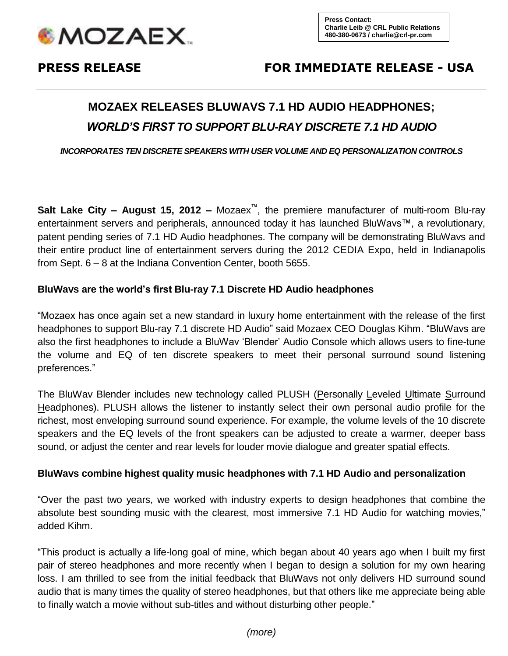

## **PRESS RELEASE FOR IMMEDIATE RELEASE - USA**

# **MOZAEX RELEASES BLUWAVS 7.1 HD AUDIO HEADPHONES;** *WORLD'S FIRST TO SUPPORT BLU-RAY DISCRETE 7.1 HD AUDIO*

*INCORPORATES TEN DISCRETE SPEAKERS WITH USER VOLUME AND EQ PERSONALIZATION CONTROLS* 

**Salt Lake City – August 15, 2012 –** Mozaex™, the premiere manufacturer of multi-room Blu-ray entertainment servers and peripherals, announced today it has launched BluWavs™, a revolutionary, patent pending series of 7.1 HD Audio headphones. The company will be demonstrating BluWavs and their entire product line of entertainment servers during the 2012 CEDIA Expo, held in Indianapolis from Sept. 6 – 8 at the Indiana Convention Center, booth 5655.

#### **BluWavs are the world's first Blu-ray 7.1 Discrete HD Audio headphones**

"Mozaex has once again set a new standard in luxury home entertainment with the release of the first headphones to support Blu-ray 7.1 discrete HD Audio" said Mozaex CEO Douglas Kihm. "BluWavs are also the first headphones to include a BluWav 'Blender' Audio Console which allows users to fine-tune the volume and EQ of ten discrete speakers to meet their personal surround sound listening preferences."

The BluWav Blender includes new technology called PLUSH (Personally Leveled Ultimate Surround Headphones). PLUSH allows the listener to instantly select their own personal audio profile for the richest, most enveloping surround sound experience. For example, the volume levels of the 10 discrete speakers and the EQ levels of the front speakers can be adjusted to create a warmer, deeper bass sound, or adjust the center and rear levels for louder movie dialogue and greater spatial effects.

#### **BluWavs combine highest quality music headphones with 7.1 HD Audio and personalization**

"Over the past two years, we worked with industry experts to design headphones that combine the absolute best sounding music with the clearest, most immersive 7.1 HD Audio for watching movies," added Kihm.

"This product is actually a life-long goal of mine, which began about 40 years ago when I built my first pair of stereo headphones and more recently when I began to design a solution for my own hearing loss. I am thrilled to see from the initial feedback that BluWavs not only delivers HD surround sound audio that is many times the quality of stereo headphones, but that others like me appreciate being able to finally watch a movie without sub-titles and without disturbing other people."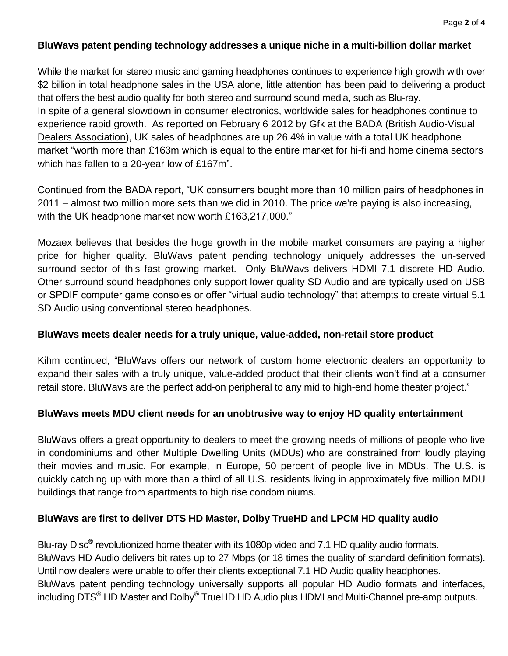#### **BluWavs patent pending technology addresses a unique niche in a multi-billion dollar market**

While the market for stereo music and gaming headphones continues to experience high growth with over \$2 billion in total headphone sales in the USA alone, little attention has been paid to delivering a product that offers the best audio quality for both stereo and surround sound media, such as Blu-ray. In spite of a general slowdown in consumer electronics, worldwide sales for headphones continue to experience rapid growth. As reported on February 6 2012 by Gfk at the BADA [\(British Audio-Visual](http://bada.co.uk/)  [Dealers Association\)](http://bada.co.uk/), UK sales of headphones are up 26.4% in value with a total UK headphone market "worth more than £163m which is equal to the entire market for hi-fi and home cinema sectors which has fallen to a 20-year low of £167m".

Continued from the BADA report, "UK consumers bought more than 10 million pairs of headphones in 2011 – almost two million more sets than we did in 2010. The price we're paying is also increasing, with the UK headphone market now worth £163,217,000."

Mozaex believes that besides the huge growth in the mobile market consumers are paying a higher price for higher quality. BluWavs patent pending technology uniquely addresses the un-served surround sector of this fast growing market. Only BluWavs delivers HDMI 7.1 discrete HD Audio. Other surround sound headphones only support lower quality SD Audio and are typically used on USB or SPDIF computer game consoles or offer "virtual audio technology" that attempts to create virtual 5.1 SD Audio using conventional stereo headphones.

#### **BluWavs meets dealer needs for a truly unique, value-added, non-retail store product**

Kihm continued, "BluWavs offers our network of custom home electronic dealers an opportunity to expand their sales with a truly unique, value-added product that their clients won't find at a consumer retail store. BluWavs are the perfect add-on peripheral to any mid to high-end home theater project."

### **BluWavs meets MDU client needs for an unobtrusive way to enjoy HD quality entertainment**

BluWavs offers a great opportunity to dealers to meet the growing needs of millions of people who live in condominiums and other Multiple Dwelling Units (MDUs) who are constrained from loudly playing their movies and music. For example, in Europe, 50 percent of people live in MDUs. The U.S. is quickly catching up with more than a third of all U.S. residents living in approximately five million MDU buildings that range from apartments to high rise condominiums.

### **BluWavs are first to deliver DTS HD Master, Dolby TrueHD and LPCM HD quality audio**

Blu-ray Disc**®** revolutionized home theater with its 1080p video and 7.1 HD quality audio formats. BluWavs HD Audio delivers bit rates up to 27 Mbps (or 18 times the quality of standard definition formats). Until now dealers were unable to offer their clients exceptional 7.1 HD Audio quality headphones. BluWavs patent pending technology universally supports all popular HD Audio formats and interfaces, including DTS**®** HD Master and Dolby**®** TrueHD HD Audio plus HDMI and Multi-Channel pre-amp outputs.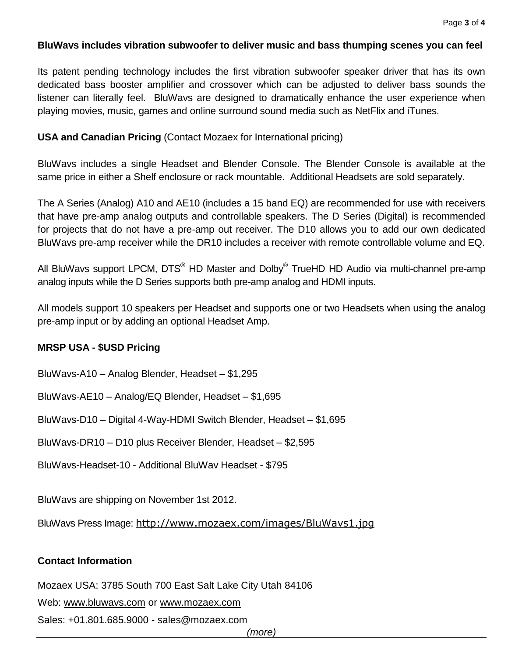#### **BluWavs includes vibration subwoofer to deliver music and bass thumping scenes you can feel**

Its patent pending technology includes the first vibration subwoofer speaker driver that has its own dedicated bass booster amplifier and crossover which can be adjusted to deliver bass sounds the listener can literally feel. BluWavs are designed to dramatically enhance the user experience when playing movies, music, games and online surround sound media such as NetFlix and iTunes.

#### **USA and Canadian Pricing** (Contact Mozaex for International pricing)

BluWavs includes a single Headset and Blender Console. The Blender Console is available at the same price in either a Shelf enclosure or rack mountable. Additional Headsets are sold separately.

The A Series (Analog) A10 and AE10 (includes a 15 band EQ) are recommended for use with receivers that have pre-amp analog outputs and controllable speakers. The D Series (Digital) is recommended for projects that do not have a pre-amp out receiver. The D10 allows you to add our own dedicated BluWavs pre-amp receiver while the DR10 includes a receiver with remote controllable volume and EQ.

All BluWavs support LPCM, DTS**®** HD Master and Dolby**®** TrueHD HD Audio via multi-channel pre-amp analog inputs while the D Series supports both pre-amp analog and HDMI inputs.

All models support 10 speakers per Headset and supports one or two Headsets when using the analog pre-amp input or by adding an optional Headset Amp.

#### **MRSP USA - \$USD Pricing**

BluWavs-A10 – Analog Blender, Headset – \$1,295

BluWavs-AE10 – Analog/EQ Blender, Headset – \$1,695

BluWavs-D10 – Digital 4-Way-HDMI Switch Blender, Headset – \$1,695

BluWavs-DR10 – D10 plus Receiver Blender, Headset – \$2,595

BluWavs-Headset-10 - Additional BluWav Headset - \$795

BluWavs are shipping on November 1st 2012.

BluWavs Press Image: <http://www.mozaex.com/images/BluWavs1.jpg>

#### **Contact Information**

Mozaex USA: 3785 South 700 East Salt Lake City Utah 84106

Web: [www.bluwavs.com](http://www.bluwavs.com/) or [www.mozaex.com](http://www.mozaex.com/) 

Sales: +01.801.685.9000 - [sales@mozaex.com](mailto:sales@mozaex.com)